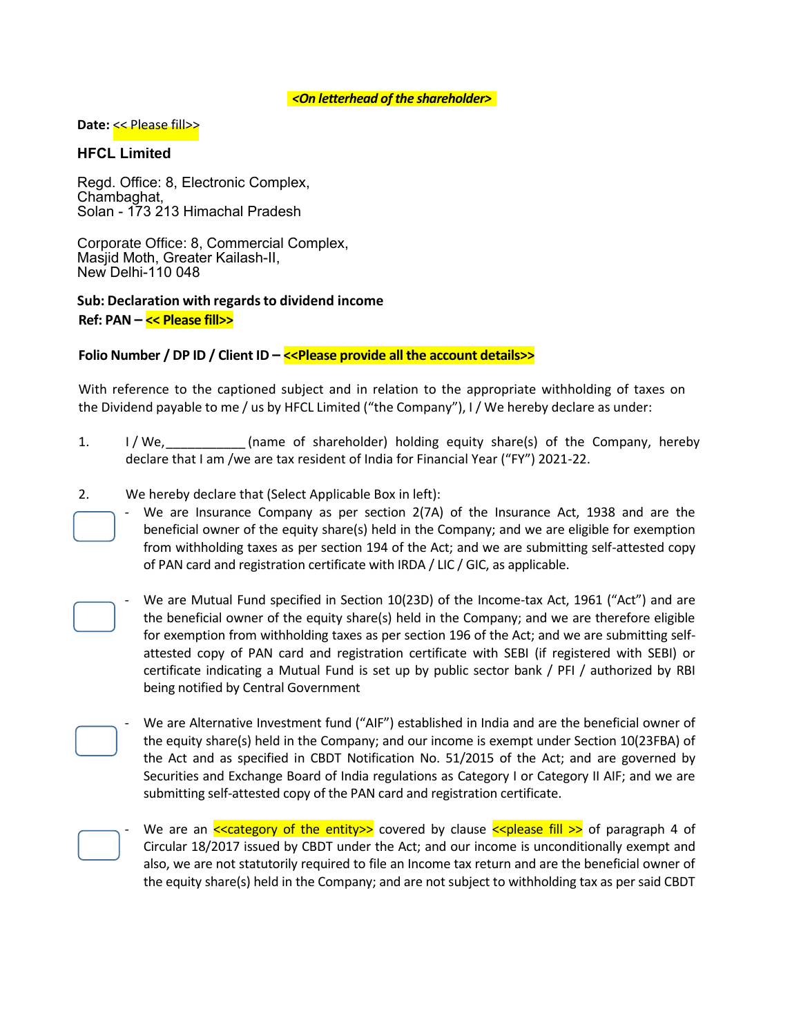### *<On letterhead of the shareholder>*

#### **Date:** << Please fill>>

## **HFCL Limited**

Regd. Office: 8, Electronic Complex, Chambaghat, Solan - 173 213 Himachal Pradesh

Corporate Office: 8, Commercial Complex, Masjid Moth, Greater Kailash-II, New Delhi-110 048

# **Sub: Declaration with regards to dividend income Ref: PAN – << Please fill>>**

# **Folio Number / DP ID / Client ID – <<Please provide all the account details>>**

With reference to the captioned subject and in relation to the appropriate withholding of taxes on the Dividend payable to me / us by HFCL Limited ("the Company"), I / We hereby declare as under:

- 1. I / We, Same of shareholder) holding equity share(s) of the Company, hereby declare that I am /we are tax resident of India for Financial Year ("FY") 2021-22.
- 2. We hereby declare that (Select Applicable Box in left):
	- We are Insurance Company as per section 2(7A) of the Insurance Act, 1938 and are the beneficial owner of the equity share(s) held in the Company; and we are eligible for exemption from withholding taxes as per section 194 of the Act; and we are submitting self-attested copy of PAN card and registration certificate with IRDA / LIC / GIC, as applicable.
	- We are Mutual Fund specified in Section 10(23D) of the Income-tax Act, 1961 ("Act") and are the beneficial owner of the equity share(s) held in the Company; and we are therefore eligible for exemption from withholding taxes as per section 196 of the Act; and we are submitting selfattested copy of PAN card and registration certificate with SEBI (if registered with SEBI) or certificate indicating a Mutual Fund is set up by public sector bank / PFI / authorized by RBI being notified by Central Government [D](https://www.taxscan.in/disposal-of-vsv-matters-must-be-completed-till-july-15-cbdt-issues-interim-action-plan-for-fy-2021-22/118681/) n [C](https://www.taxscan.in/disposal-of-vsv-matters-must-be-completed-till-july-15-cbdt-issues-interim-action-plan-for-fy-2021-22/118681/)

We are Alternative Investment fund ("AIF") established in India and are the beneficial owner of the equity share(s) held in the Company; and our income is exempt under Section 10(23FBA) of the Act and as specified in CBDT Notification No. 51/2015 of the Act; and are governed by Securities and Exchange Board of India regulations as Category I or Category II AIF; and we are submitting self-attested copy of the PAN card and registration certificate.



[s](https://www.taxscan.in/disposal-of-vsv-matters-must-be-completed-till-july-15-cbdt-issues-interim-action-plan-for-fy-2021-22/118681/)  [In](https://www.taxscan.in/disposal-of-vsv-matters-must-be-completed-till-july-15-cbdt-issues-interim-action-plan-for-fy-2021-22/118681/)

[C](https://www.taxscan.in/disposal-of-vsv-matters-must-be-completed-till-july-15-cbdt-issues-interim-action-plan-for-fy-2021-22/118681/)

n [ot](https://www.taxscan.in/disposal-of-vsv-matters-must-be-completed-till-july-15-cbdt-issues-interim-action-plan-for-fy-2021-22/118681/)

[C](https://www.taxscan.in/disposal-of-vsv-matters-must-be-completed-till-july-15-cbdt-issues-interim-action-plan-for-fy-2021-22/118681/)

We are an  $\leq$  category of the entity  $\geq$  covered by clause  $\leq$  please fill  $\geq$  of paragraph 4 of Circular 18/2017 issued by CBDT under the Act; and our income is unconditionally exempt and also, we are not statutorily required to file an Income tax return and are the beneficial owner of the equity share(s) held in the Company; and are not subject to withholding tax as per said CBDT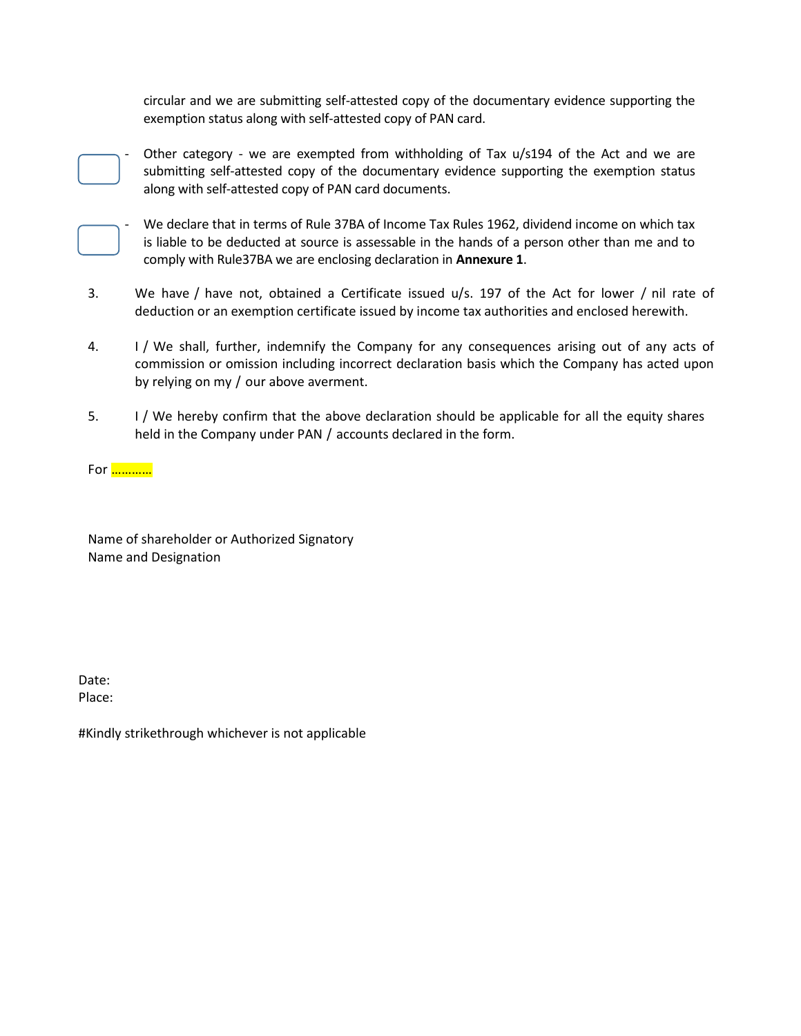circular and we are submitting self-attested copy of the documentary evidence supporting the exemption status along with self-attested copy of PAN card.



Other category - we are exempted from withholding of Tax  $u/s194$  of the Act and we are submitting self-attested copy of the documentary evidence supporting the exemption status along with self-attested copy of PAN card documents.



We declare that in terms of Rule 37BA of Income Tax Rules 1962, dividend income on which tax is liable to be deducted at source is assessable in the hands of a person other than me and to comply with Rule37BA we are enclosing declaration in **Annexure 1**.

- We have / have not, obtained a Certificate issued u/s. 197 of the Act for lower / nil rate of deduction or an exemption certificate issued by income tax authorities and enclosed herewith. n j.  $\overline{ }$ D
- 1/ We shall, further, indemnify the Company for any consequences arising out of any acts of commission or omission including incorrect declaration basis which the Company has acted upon by relying on my / our above averment. 4.
- 1/ We hereby confirm that the above declaration should be applicable for all the equity shares held in the Company under PAN / accounts declared in the form.  $5.$

..........<mark>..........</mark> **A** 

Name of shareholder or Authorized Signatory io [m](https://www.taxscan.in/disposal-of-vsv-matters-must-be-completed-till-july-15-cbdt-issues-interim-action-plan-for-fy-2021-22/118681/)  [Nam](https://www.taxscan.in/disposal-of-vsv-matters-must-be-completed-till-july-15-cbdt-issues-interim-action-plan-for-fy-2021-22/118681/)e or shareholder of

Date: a Date:<br>Place: ucc

#[Kind](https://www.taxscan.in/disposal-of-vsv-matters-must-be-completed-till-july-15-cbdt-issues-interim-action-plan-for-fy-2021-22/118681/)ly strikethrough whichever is not applicable .2 r